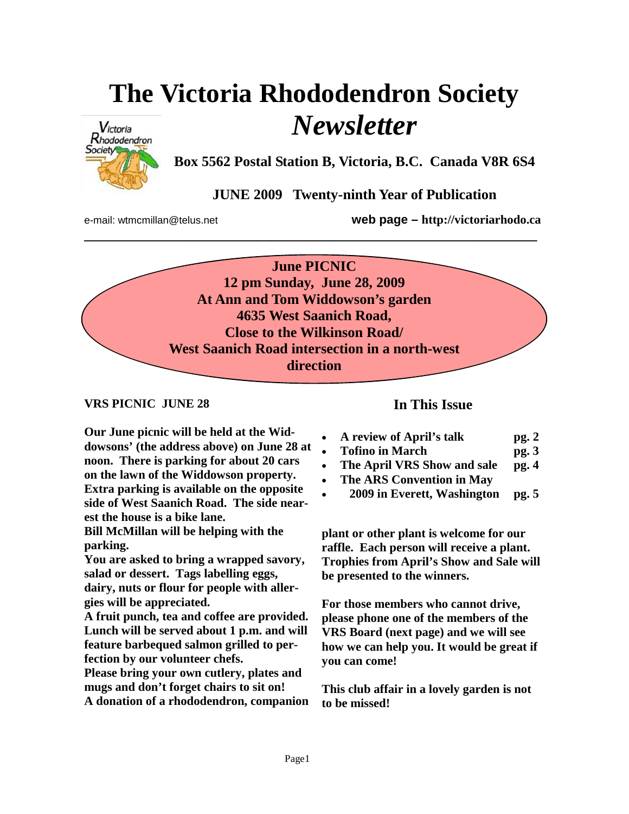# **The Victoria Rhododendron Society**  *Newsletter*



**Box 5562 Postal Station B, Victoria, B.C. Canada V8R 6S4** 

# **JUNE 2009 Twenty-ninth Year of Publication**

e-mail: wtmcmillan@telus.net **web page – http://victoriarhodo.ca**

**June PICNIC 12 pm Sunday, June 28, 2009 At Ann and Tom Widdowson's garden 4635 West Saanich Road, Close to the Wilkinson Road/ West Saanich Road intersection in a north-west direction** 

**\_\_\_\_\_\_\_\_\_\_\_\_\_\_\_\_\_\_\_\_\_\_\_\_\_\_\_\_\_\_\_\_\_\_\_\_\_\_\_\_\_\_\_\_\_\_\_\_\_\_\_\_\_\_\_\_\_\_\_\_\_\_\_** 

## **VRS PICNIC JUNE 28**

**Our June picnic will be held at the Widdowsons' (the address above) on June 28 at noon. There is parking for about 20 cars on the lawn of the Widdowson property. Extra parking is available on the opposite side of West Saanich Road. The side nearest the house is a bike lane.** 

**Bill McMillan will be helping with the parking.** 

**You are asked to bring a wrapped savory, salad or dessert. Tags labelling eggs, dairy, nuts or flour for people with allergies will be appreciated.** 

**A fruit punch, tea and coffee are provided. Lunch will be served about 1 p.m. and will feature barbequed salmon grilled to perfection by our volunteer chefs.** 

**Please bring your own cutlery, plates and mugs and don't forget chairs to sit on! A donation of a rhododendron, companion** 

# **In This Issue**

- **A review of April's talk pg. 2**
- **Tofino in March pg. 3**
- **The April VRS Show and sale pg. 4**
- **The ARS Convention in May**
- • **2009 in Everett, Washington pg. 5**

**plant or other plant is welcome for our raffle. Each person will receive a plant. Trophies from April's Show and Sale will be presented to the winners.** 

**For those members who cannot drive, please phone one of the members of the VRS Board (next page) and we will see how we can help you. It would be great if you can come!** 

**This club affair in a lovely garden is not to be missed!**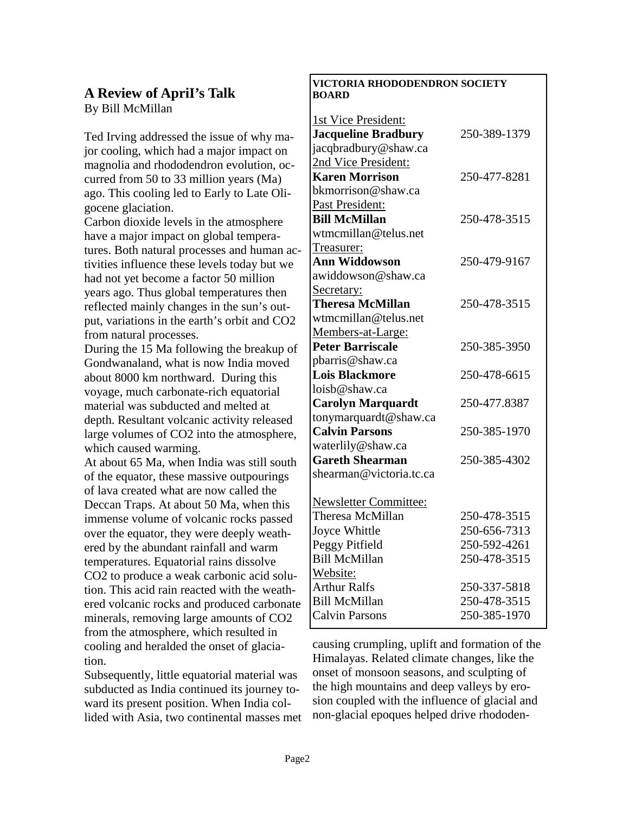## **A Review of ApriI's Talk**  By Bill McMillan

Ted Irving addressed the issue of why major cooling, which had a major impact on magnolia and rhododendron evolution, occurred from 50 to 33 million years (Ma) ago. This cooling led to Early to Late Oligocene glaciation.

Carbon dioxide levels in the atmosphere have a major impact on global temperatures. Both natural processes and human activities influence these levels today but we had not yet become a factor 50 million years ago. Thus global temperatures then reflected mainly changes in the sun's output, variations in the earth's orbit and CO2 from natural processes.

During the 15 Ma following the breakup of Gondwanaland, what is now India moved about 8000 km northward. During this voyage, much carbonate-rich equatorial material was subducted and melted at depth. Resultant volcanic activity released large volumes of CO2 into the atmosphere, which caused warming.

At about 65 Ma, when India was still south of the equator, these massive outpourings of lava created what are now called the Deccan Traps. At about 50 Ma, when this immense volume of volcanic rocks passed over the equator, they were deeply weathered by the abundant rainfall and warm temperatures. Equatorial rains dissolve CO2 to produce a weak carbonic acid solution. This acid rain reacted with the weathered volcanic rocks and produced carbonate minerals, removing large amounts of CO2 from the atmosphere, which resulted in cooling and heralded the onset of glaciation.

Subsequently, little equatorial material was subducted as India continued its journey toward its present position. When India collided with Asia, two continental masses met

#### **VICTORIA RHODODENDRON SOCIETY BOARD**

| 1st Vice President:          |              |
|------------------------------|--------------|
| <b>Jacqueline Bradbury</b>   | 250-389-1379 |
| jacqbradbury@shaw.ca         |              |
| 2nd Vice President:          |              |
| <b>Karen Morrison</b>        | 250-477-8281 |
| bkmorrison@shaw.ca           |              |
| Past President:              |              |
| <b>Bill McMillan</b>         | 250-478-3515 |
| wtmcmillan@telus.net         |              |
| Treasurer:                   |              |
| <b>Ann Widdowson</b>         | 250-479-9167 |
| awiddowson@shaw.ca           |              |
| Secretary:                   |              |
| <b>Theresa McMillan</b>      | 250-478-3515 |
| wtmcmillan@telus.net         |              |
| Members-at-Large:            |              |
| <b>Peter Barriscale</b>      | 250-385-3950 |
| pbarris@shaw.ca              |              |
| <b>Lois Blackmore</b>        | 250-478-6615 |
| loisb@shaw.ca                |              |
| <b>Carolyn Marquardt</b>     | 250-477.8387 |
| tonymarquardt@shaw.ca        |              |
| <b>Calvin Parsons</b>        | 250-385-1970 |
| waterlily@shaw.ca            |              |
| <b>Gareth Shearman</b>       | 250-385-4302 |
| shearman@victoria.tc.ca      |              |
|                              |              |
| <b>Newsletter Committee:</b> |              |
| Theresa McMillan             | 250-478-3515 |
| Joyce Whittle                | 250-656-7313 |
| Peggy Pitfield               | 250-592-4261 |
| <b>Bill McMillan</b>         | 250-478-3515 |
| Website:                     |              |
| <b>Arthur Ralfs</b>          | 250-337-5818 |
| <b>Bill McMillan</b>         | 250-478-3515 |
| <b>Calvin Parsons</b>        | 250-385-1970 |

causing crumpling, uplift and formation of the Himalayas. Related climate changes, like the onset of monsoon seasons, and sculpting of the high mountains and deep valleys by erosion coupled with the influence of glacial and non-glacial epoques helped drive rhododen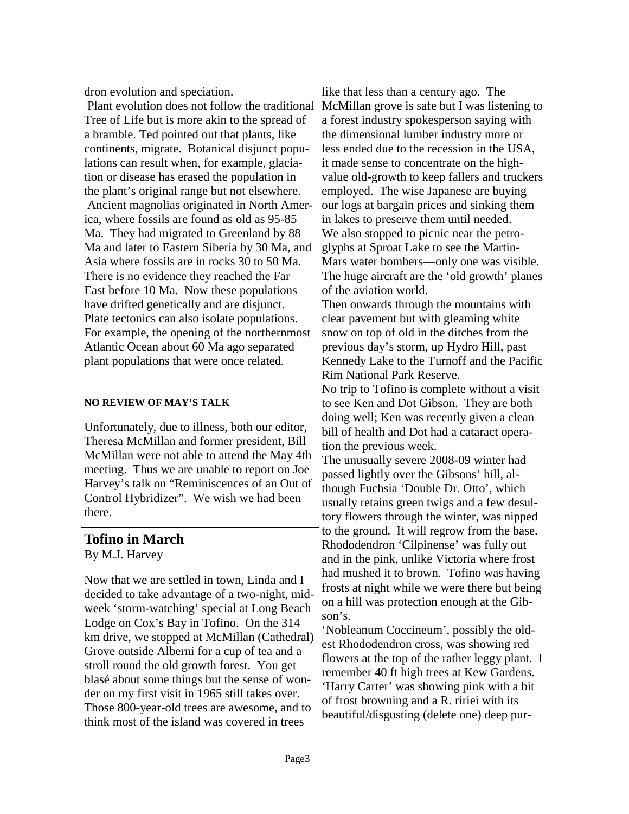dron evolution and speciation.

 Plant evolution does not follow the traditional McMillan grove is safe but I was listening to Tree of Life but is more akin to the spread of a bramble. Ted pointed out that plants, like continents, migrate. Botanical disjunct populations can result when, for example, glaciation or disease has erased the population in the plant's original range but not elsewhere. Ancient magnolias originated in North America, where fossils are found as old as 95-85 Ma. They had migrated to Greenland by 88 Ma and later to Eastern Siberia by 30 Ma, and Asia where fossils are in rocks 30 to 50 Ma. There is no evidence they reached the Far East before 10 Ma. Now these populations have drifted genetically and are disjunct. Plate tectonics can also isolate populations. For example, the opening of the northernmost Atlantic Ocean about 60 Ma ago separated plant populations that were once related.

#### **NO REVIEW OF MAY'S TALK**

Unfortunately, due to illness, both our editor, Theresa McMillan and former president, Bill McMillan were not able to attend the May 4th meeting. Thus we are unable to report on Joe Harvey's talk on "Reminiscences of an Out of Control Hybridizer". We wish we had been there.

### **Tofino in March** By M.J. Harvey

Now that we are settled in town, Linda and I decided to take advantage of a two-night, midweek 'storm-watching' special at Long Beach Lodge on Cox's Bay in Tofino. On the 314 km drive, we stopped at McMillan (Cathedral) Grove outside Alberni for a cup of tea and a stroll round the old growth forest. You get blasé about some things but the sense of wonder on my first visit in 1965 still takes over. Those 800-year-old trees are awesome, and to think most of the island was covered in trees

like that less than a century ago. The a forest industry spokesperson saying with the dimensional lumber industry more or less ended due to the recession in the USA, it made sense to concentrate on the highvalue old-growth to keep fallers and truckers employed. The wise Japanese are buying our logs at bargain prices and sinking them in lakes to preserve them until needed. We also stopped to picnic near the petroglyphs at Sproat Lake to see the Martin-Mars water bombers—only one was visible. The huge aircraft are the 'old growth' planes of the aviation world.

Then onwards through the mountains with clear pavement but with gleaming white snow on top of old in the ditches from the previous day's storm, up Hydro Hill, past Kennedy Lake to the Turnoff and the Pacific Rim National Park Reserve.

No trip to Tofino is complete without a visit to see Ken and Dot Gibson. They are both doing well; Ken was recently given a clean bill of health and Dot had a cataract operation the previous week.

The unusually severe 2008-09 winter had passed lightly over the Gibsons' hill, although Fuchsia 'Double Dr. Otto', which usually retains green twigs and a few desultory flowers through the winter, was nipped to the ground. It will regrow from the base. Rhododendron 'Cilpinense' was fully out and in the pink, unlike Victoria where frost had mushed it to brown. Tofino was having frosts at night while we were there but being on a hill was protection enough at the Gibson's.

'Nobleanum Coccineum', possibly the oldest Rhododendron cross, was showing red flowers at the top of the rather leggy plant. I remember 40 ft high trees at Kew Gardens. 'Harry Carter' was showing pink with a bit of frost browning and a R. ririei with its beautiful/disgusting (delete one) deep pur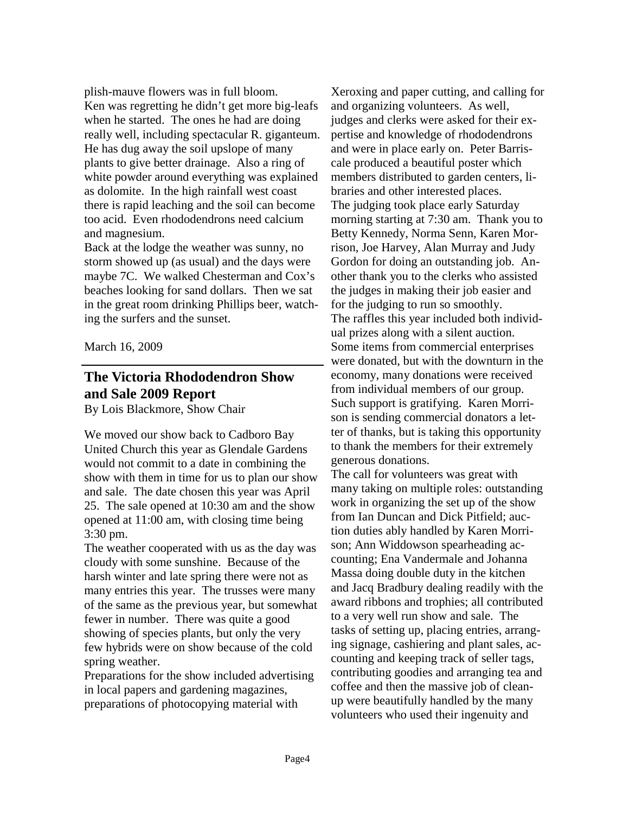plish-mauve flowers was in full bloom. Ken was regretting he didn't get more big-leafs when he started. The ones he had are doing really well, including spectacular R. giganteum. He has dug away the soil upslope of many plants to give better drainage. Also a ring of white powder around everything was explained as dolomite. In the high rainfall west coast there is rapid leaching and the soil can become too acid. Even rhododendrons need calcium and magnesium.

Back at the lodge the weather was sunny, no storm showed up (as usual) and the days were maybe 7C. We walked Chesterman and Cox's beaches looking for sand dollars. Then we sat in the great room drinking Phillips beer, watching the surfers and the sunset.

March 16, 2009

# **The Victoria Rhododendron Show and Sale 2009 Report**

By Lois Blackmore, Show Chair

We moved our show back to Cadboro Bay United Church this year as Glendale Gardens would not commit to a date in combining the show with them in time for us to plan our show and sale. The date chosen this year was April 25. The sale opened at 10:30 am and the show opened at 11:00 am, with closing time being 3:30 pm.

The weather cooperated with us as the day was cloudy with some sunshine. Because of the harsh winter and late spring there were not as many entries this year. The trusses were many of the same as the previous year, but somewhat fewer in number. There was quite a good showing of species plants, but only the very few hybrids were on show because of the cold spring weather.

Preparations for the show included advertising in local papers and gardening magazines, preparations of photocopying material with

Xeroxing and paper cutting, and calling for and organizing volunteers. As well, judges and clerks were asked for their expertise and knowledge of rhododendrons and were in place early on. Peter Barriscale produced a beautiful poster which members distributed to garden centers, libraries and other interested places. The judging took place early Saturday morning starting at 7:30 am. Thank you to Betty Kennedy, Norma Senn, Karen Morrison, Joe Harvey, Alan Murray and Judy Gordon for doing an outstanding job. Another thank you to the clerks who assisted the judges in making their job easier and for the judging to run so smoothly. The raffles this year included both individual prizes along with a silent auction. Some items from commercial enterprises were donated, but with the downturn in the economy, many donations were received from individual members of our group. Such support is gratifying. Karen Morrison is sending commercial donators a letter of thanks, but is taking this opportunity to thank the members for their extremely generous donations.

The call for volunteers was great with many taking on multiple roles: outstanding work in organizing the set up of the show from Ian Duncan and Dick Pitfield; auction duties ably handled by Karen Morrison; Ann Widdowson spearheading accounting; Ena Vandermale and Johanna Massa doing double duty in the kitchen and Jacq Bradbury dealing readily with the award ribbons and trophies; all contributed to a very well run show and sale. The tasks of setting up, placing entries, arranging signage, cashiering and plant sales, accounting and keeping track of seller tags, contributing goodies and arranging tea and coffee and then the massive job of cleanup were beautifully handled by the many volunteers who used their ingenuity and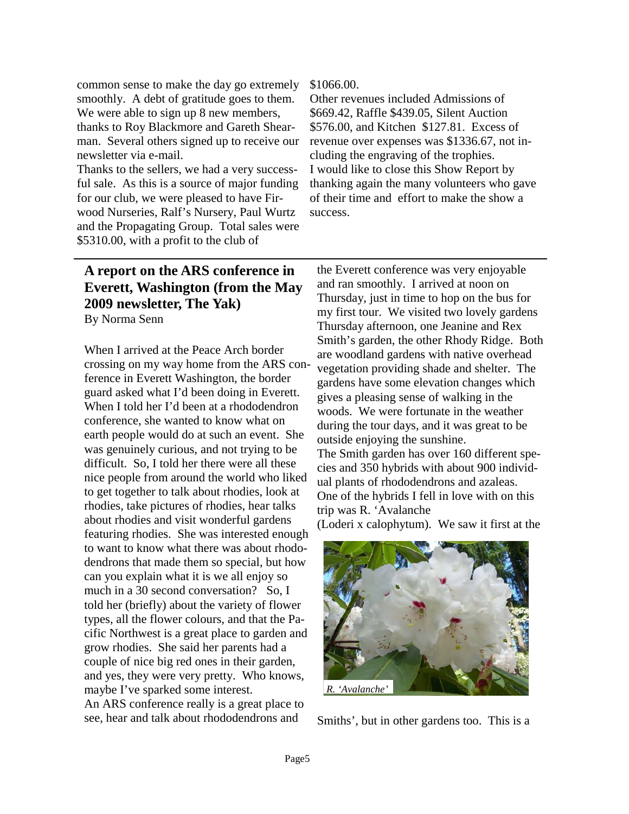common sense to make the day go extremely smoothly. A debt of gratitude goes to them. We were able to sign up 8 new members, thanks to Roy Blackmore and Gareth Shearman. Several others signed up to receive our newsletter via e-mail.

Thanks to the sellers, we had a very successful sale. As this is a source of major funding for our club, we were pleased to have Firwood Nurseries, Ralf's Nursery, Paul Wurtz and the Propagating Group. Total sales were \$5310.00, with a profit to the club of

#### \$1066.00.

Other revenues included Admissions of \$669.42, Raffle \$439.05, Silent Auction \$576.00, and Kitchen \$127.81. Excess of revenue over expenses was \$1336.67, not including the engraving of the trophies. I would like to close this Show Report by thanking again the many volunteers who gave of their time and effort to make the show a success.

## **A report on the ARS conference in Everett, Washington (from the May 2009 newsletter, The Yak)**  By Norma Senn

When I arrived at the Peace Arch border crossing on my way home from the ARS conference in Everett Washington, the border guard asked what I'd been doing in Everett. When I told her I'd been at a rhododendron conference, she wanted to know what on earth people would do at such an event. She was genuinely curious, and not trying to be difficult. So, I told her there were all these nice people from around the world who liked to get together to talk about rhodies, look at rhodies, take pictures of rhodies, hear talks about rhodies and visit wonderful gardens featuring rhodies. She was interested enough to want to know what there was about rhododendrons that made them so special, but how can you explain what it is we all enjoy so much in a 30 second conversation? So, I told her (briefly) about the variety of flower types, all the flower colours, and that the Pacific Northwest is a great place to garden and grow rhodies. She said her parents had a couple of nice big red ones in their garden, and yes, they were very pretty. Who knows, maybe I've sparked some interest. An ARS conference really is a great place to see, hear and talk about rhododendrons and

the Everett conference was very enjoyable and ran smoothly. I arrived at noon on Thursday, just in time to hop on the bus for my first tour. We visited two lovely gardens Thursday afternoon, one Jeanine and Rex Smith's garden, the other Rhody Ridge. Both are woodland gardens with native overhead vegetation providing shade and shelter. The gardens have some elevation changes which gives a pleasing sense of walking in the woods. We were fortunate in the weather during the tour days, and it was great to be outside enjoying the sunshine. The Smith garden has over 160 different species and 350 hybrids with about 900 individual plants of rhododendrons and azaleas.

(Loderi x calophytum). We saw it first at the

One of the hybrids I fell in love with on this

trip was R. 'Avalanche



Smiths', but in other gardens too. This is a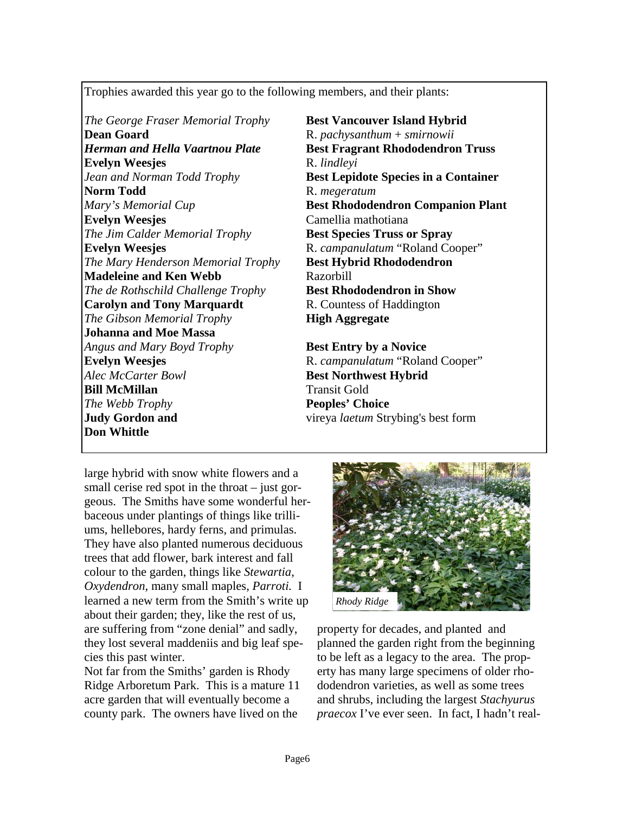Trophies awarded this year go to the following members, and their plants:

*The George Fraser Memorial Trophy* **Best Vancouver Island Hybrid Dean Goard** R. *pachysanthum* + *smirnowii Herman and Hella Vaartnou Plate* **Best Fragrant Rhododendron Truss Evelyn Weesjes** R. *lindleyi* **Norm Todd** R. *megeratum* **Evelyn Weesjes** Camellia mathotiana *The Jim Calder Memorial Trophy* **Best Species Truss or Spray Evelyn Weesjes** R. *campanulatum* "Roland Cooper" *The Mary Henderson Memorial Trophy* **Best Hybrid Rhododendron Madeleine and Ken Webb** Razorbill *The de Rothschild Challenge Trophy* **Best Rhododendron in Show Carolyn and Tony Marquardt R. Countess of Haddington** *The Gibson Memorial Trophy* **High Aggregate Johanna and Moe Massa**  *Angus and Mary Boyd Trophy* **Best Entry by a Novice Evelyn Weesjes** R. *campanulatum* "Roland Cooper" *Alec McCarter Bowl* **Best Northwest Hybrid Bill McMillan** Transit Gold *The Webb Trophy* **Peoples' Choice Judy Gordon and vireya** *laetum* **Strybing's best form Don Whittle**

*Jean and Norman Todd Trophy* **Best Lepidote Species in a Container** *Mary's Memorial Cup* **Best Rhododendron Companion Plant** 

large hybrid with snow white flowers and a small cerise red spot in the throat – just gorgeous. The Smiths have some wonderful herbaceous under plantings of things like trilliums, hellebores, hardy ferns, and primulas. They have also planted numerous deciduous trees that add flower, bark interest and fall colour to the garden, things like *Stewartia*, *Oxydendron*, many small maples, *Parroti.* I learned a new term from the Smith's write up about their garden; they, like the rest of us, are suffering from "zone denial" and sadly, they lost several maddeniis and big leaf species this past winter.

Not far from the Smiths' garden is Rhody Ridge Arboretum Park. This is a mature 11 acre garden that will eventually become a county park. The owners have lived on the



property for decades, and planted and planned the garden right from the beginning to be left as a legacy to the area. The property has many large specimens of older rhododendron varieties, as well as some trees and shrubs, including the largest *Stachyurus praecox* I've ever seen. In fact, I hadn't real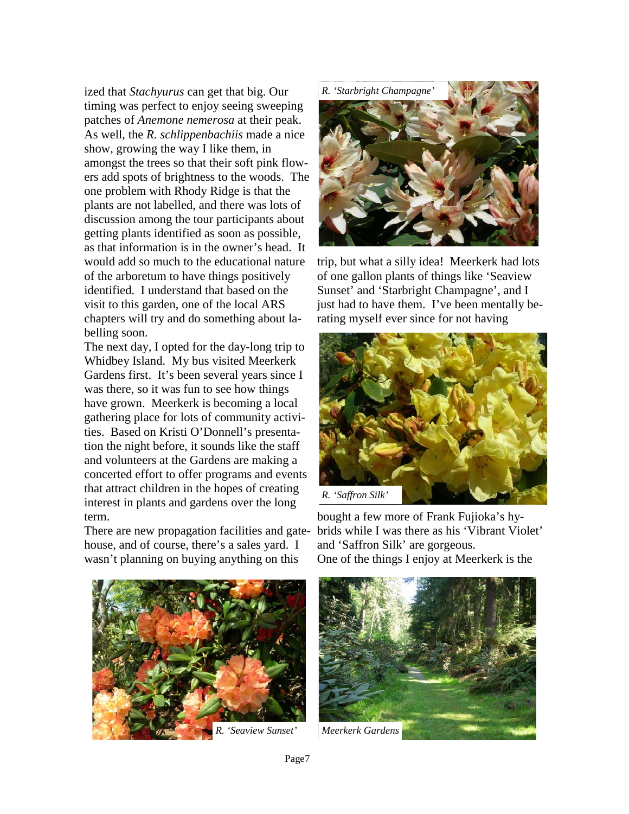ized that *Stachyurus* can get that big. Our timing was perfect to enjoy seeing sweeping patches of *Anemone nemerosa* at their peak. As well, the *R. schlippenbachiis* made a nice show, growing the way I like them, in amongst the trees so that their soft pink flowers add spots of brightness to the woods. The one problem with Rhody Ridge is that the plants are not labelled, and there was lots of discussion among the tour participants about getting plants identified as soon as possible, as that information is in the owner's head. It would add so much to the educational nature of the arboretum to have things positively identified. I understand that based on the visit to this garden, one of the local ARS chapters will try and do something about labelling soon.

The next day, I opted for the day-long trip to Whidbey Island. My bus visited Meerkerk Gardens first. It's been several years since I was there, so it was fun to see how things have grown. Meerkerk is becoming a local gathering place for lots of community activities. Based on Kristi O'Donnell's presentation the night before, it sounds like the staff and volunteers at the Gardens are making a concerted effort to offer programs and events that attract children in the hopes of creating interest in plants and gardens over the long term.

There are new propagation facilities and gatehouse, and of course, there's a sales yard. I wasn't planning on buying anything on this



trip, but what a silly idea! Meerkerk had lots of one gallon plants of things like 'Seaview Sunset' and 'Starbright Champagne', and I just had to have them. I've been mentally berating myself ever since for not having



bought a few more of Frank Fujioka's hybrids while I was there as his 'Vibrant Violet' and 'Saffron Silk' are gorgeous. One of the things I enjoy at Meerkerk is the